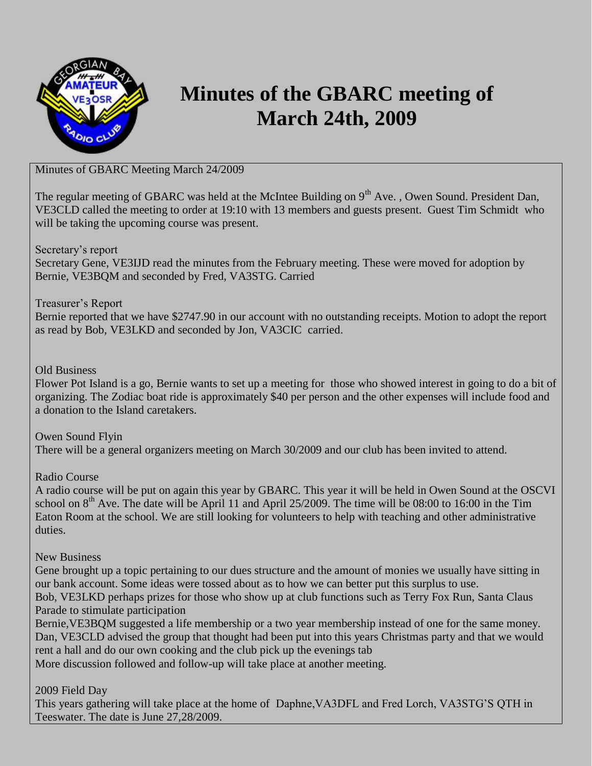

## **Minutes of the GBARC meeting of March 24th, 2009**

## Minutes of GBARC Meeting March 24/2009

The regular meeting of GBARC was held at the McIntee Building on 9<sup>th</sup> Ave., Owen Sound. President Dan, VE3CLD called the meeting to order at 19:10 with 13 members and guests present. Guest Tim Schmidt who will be taking the upcoming course was present.

Secretary's report

Secretary Gene, VE3IJD read the minutes from the February meeting. These were moved for adoption by Bernie, VE3BQM and seconded by Fred, VA3STG. Carried

Treasurer's Report

Bernie reported that we have \$2747.90 in our account with no outstanding receipts. Motion to adopt the report as read by Bob, VE3LKD and seconded by Jon, VA3CIC carried.

## Old Business

Flower Pot Island is a go, Bernie wants to set up a meeting for those who showed interest in going to do a bit of organizing. The Zodiac boat ride is approximately \$40 per person and the other expenses will include food and a donation to the Island caretakers.

Owen Sound Flyin There will be a general organizers meeting on March 30/2009 and our club has been invited to attend.

Radio Course

A radio course will be put on again this year by GBARC. This year it will be held in Owen Sound at the OSCVI school on  $8<sup>th</sup>$  Ave. The date will be April 11 and April 25/2009. The time will be 08:00 to 16:00 in the Tim Eaton Room at the school. We are still looking for volunteers to help with teaching and other administrative duties.

New Business

Gene brought up a topic pertaining to our dues structure and the amount of monies we usually have sitting in our bank account. Some ideas were tossed about as to how we can better put this surplus to use. Bob, VE3LKD perhaps prizes for those who show up at club functions such as Terry Fox Run, Santa Claus Parade to stimulate participation

Bernie,VE3BQM suggested a life membership or a two year membership instead of one for the same money. Dan, VE3CLD advised the group that thought had been put into this years Christmas party and that we would rent a hall and do our own cooking and the club pick up the evenings tab

More discussion followed and follow-up will take place at another meeting.

2009 Field Day

This years gathering will take place at the home of Daphne,VA3DFL and Fred Lorch, VA3STG'S QTH in Teeswater. The date is June 27,28/2009.